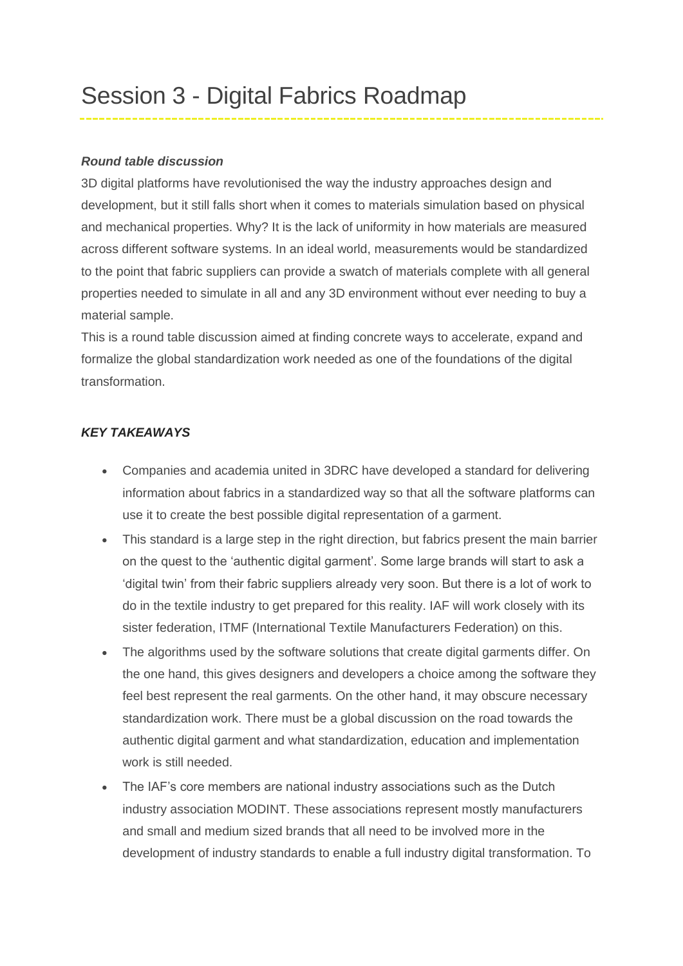## *Round table discussion*

3D digital platforms have revolutionised the way the industry approaches design and development, but it still falls short when it comes to materials simulation based on physical and mechanical properties. Why? It is the lack of uniformity in how materials are measured across different software systems. In an ideal world, measurements would be standardized to the point that fabric suppliers can provide a swatch of materials complete with all general properties needed to simulate in all and any 3D environment without ever needing to buy a material sample.

This is a round table discussion aimed at finding concrete ways to accelerate, expand and formalize the global standardization work needed as one of the foundations of the digital transformation.

## *KEY TAKEAWAYS*

- Companies and academia united in 3DRC have developed a standard for delivering information about fabrics in a standardized way so that all the software platforms can use it to create the best possible digital representation of a garment.
- This standard is a large step in the right direction, but fabrics present the main barrier on the quest to the 'authentic digital garment'. Some large brands will start to ask a 'digital twin' from their fabric suppliers already very soon. But there is a lot of work to do in the textile industry to get prepared for this reality. IAF will work closely with its sister federation, ITMF (International Textile Manufacturers Federation) on this.
- The algorithms used by the software solutions that create digital garments differ. On the one hand, this gives designers and developers a choice among the software they feel best represent the real garments. On the other hand, it may obscure necessary standardization work. There must be a global discussion on the road towards the authentic digital garment and what standardization, education and implementation work is still needed.
- The IAF's core members are national industry associations such as the Dutch industry association MODINT. These associations represent mostly manufacturers and small and medium sized brands that all need to be involved more in the development of industry standards to enable a full industry digital transformation. To